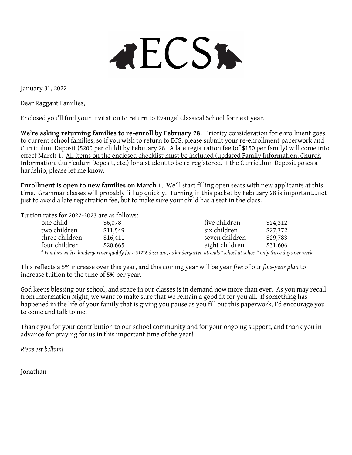**AECSK** 

January 31, 2022

Dear Raggant Families,

Enclosed you'll find your invitation to return to Evangel Classical School for next year.

We're asking returning families to re-enroll by February 28. Priority consideration for enrollment goes to current school families, so if you wish to return to ECS, please submit your re-enrollment paperwork and Curriculum Deposit (\$200 per child) by February 28. A late registration fee (of \$150 per family) will come into effect March 1. All items on the enclosed checklist must be included (updated Family Information, Church Information, Curriculum Deposit, etc.) for a student to be re-registered. If the Curriculum Deposit poses a hardship, please let me know.

**Enrollment is open to new families on March 1.** We'll start filling open seats with new applicants at this time. Grammar classes will probably fill up quickly. Turning in this packet by February 28 is important…not just to avoid a late registration fee, but to make sure your child has a seat in the class.

Tuition rates for 2022-2023 are as follows:

| one child      | \$6,078  | five children                                                                                                                       | \$24,312 |
|----------------|----------|-------------------------------------------------------------------------------------------------------------------------------------|----------|
| two children   | \$11,549 | six children                                                                                                                        | \$27,372 |
| three children | \$16,411 | seven children                                                                                                                      | \$29,783 |
| four children  | \$20,665 | eight children                                                                                                                      | \$31,606 |
|                |          | * Families with a kindergartner qualify for a \$1216 discount, as kindergarten attends "school at school" only three days per week. |          |

This reflects a 5% increase over this year, and this coming year will be year *five* of our *five-year plan* to increase tuition to the tune of 5% per year.

God keeps blessing our school, and space in our classes is in demand now more than ever. As you may recall from Information Night, we want to make sure that we remain a good fit for you all. If something has happened in the life of your family that is giving you pause as you fill out this paperwork, I'd encourage you to come and talk to me.

Thank you for your contribution to our school community and for your ongoing support, and thank you in advance for praying for us in this important time of the year!

*Risus est bellum!*

Jonathan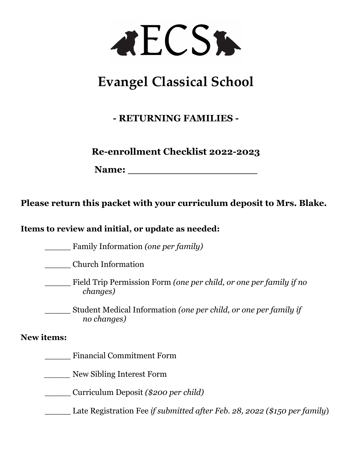

# **Evangel Classical School**

### **- RETURNING FAMILIES -**

**Re-enrollment Checklist 2022-2023**

**Name: \_\_\_\_\_\_\_\_\_\_\_\_\_\_\_\_\_\_\_\_**

**Please return this packet with your curriculum deposit to Mrs. Blake.**

**Items to review and initial, or update as needed:** 

\_\_\_\_\_ Family Information *(one per family)*

\_\_\_\_\_ Church Information

\_\_\_\_\_ Field Trip Permission Form *(one per child, or one per family if no changes)*

\_\_\_\_\_ Student Medical Information *(one per child, or one per family if no changes)*

#### **New items:**

\_\_\_\_\_ Financial Commitment Form

*\_\_\_\_\_* New Sibling Interest Form

\_\_\_\_\_ Curriculum Deposit *(\$200 per child)*

\_\_\_\_\_ Late Registration Fee *if submitted after Feb. 28, 2022 (\$150 per family*)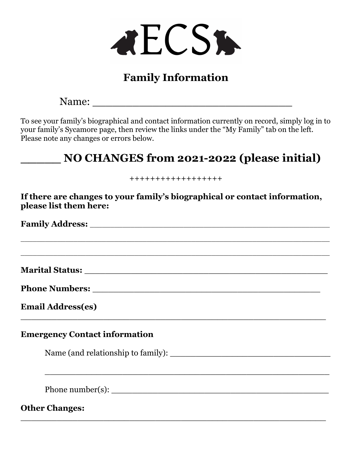

# **Family Information**

Name: \_\_\_\_\_\_\_\_\_\_\_\_\_\_\_\_\_\_\_\_\_\_\_\_\_\_\_\_\_\_

To see your family's biographical and contact information currently on record, simply log in to your family's Sycamore page, then review the links under the "My Family" tab on the left. Please note any changes or errors below.

# **\_\_\_\_\_ NO CHANGES from 2021-2022 (please initial)**

++++++++++++++++++

**If there are changes to your family's biographical or contact information, please list them here:**

\_\_\_\_\_\_\_\_\_\_\_\_\_\_\_\_\_\_\_\_\_\_\_\_\_\_\_\_\_\_\_\_\_\_\_\_\_\_\_\_\_\_\_\_\_\_\_\_\_\_\_\_\_\_\_\_\_\_\_\_\_\_\_\_\_\_\_\_\_\_\_\_\_\_\_\_

\_\_\_\_\_\_\_\_\_\_\_\_\_\_\_\_\_\_\_\_\_\_\_\_\_\_\_\_\_\_\_\_\_\_\_\_\_\_\_\_\_\_\_\_\_\_\_\_\_\_\_\_\_\_\_\_\_\_\_\_\_\_\_\_\_\_\_\_\_\_\_\_\_\_\_\_

\_\_\_\_\_\_\_\_\_\_\_\_\_\_\_\_\_\_\_\_\_\_\_\_\_\_\_\_\_\_\_\_\_\_\_\_\_\_\_\_\_\_\_\_\_\_\_\_\_\_\_\_\_\_\_\_\_\_\_

\_\_\_\_\_\_\_\_\_\_\_\_\_\_\_\_\_\_\_\_\_\_\_\_\_\_\_\_\_\_\_\_\_\_\_\_\_\_\_\_\_\_\_\_\_\_\_\_\_\_\_\_\_\_\_\_\_\_\_

**Family Address:** \_\_\_\_\_\_\_\_\_\_\_\_\_\_\_\_\_\_\_\_\_\_\_\_\_\_\_\_\_\_\_\_\_\_\_\_\_\_\_\_\_\_\_\_\_\_\_\_\_\_\_\_\_\_\_\_\_\_\_

**Marital Status:** \_\_\_\_\_\_\_\_\_\_\_\_\_\_\_\_\_\_\_\_\_\_\_\_\_\_\_\_\_\_\_\_\_\_\_\_\_\_\_\_\_\_\_\_\_\_\_

**Phone Numbers:**  $\blacksquare$ 

**Email Address(es)**

#### **Emergency Contact information**

Name (and relationship to family): \_\_\_\_\_\_\_\_\_\_\_\_\_\_\_\_\_\_\_\_\_\_\_\_\_\_\_\_\_\_\_

\_\_\_\_\_\_\_\_\_\_\_\_\_\_\_\_\_\_\_\_\_\_\_\_\_\_\_\_\_\_\_\_\_\_\_\_\_\_\_\_\_\_\_\_\_\_\_\_\_\_\_\_\_\_\_

Phone number(s): \_\_\_\_\_\_\_\_\_\_\_\_\_\_\_\_\_\_\_\_\_\_\_\_\_\_\_\_\_\_\_\_\_\_\_\_\_\_\_\_\_\_

**Other Changes:**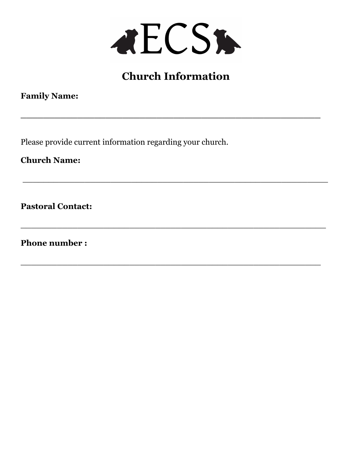

# **Church Information**

**\_\_\_\_\_\_\_\_\_\_\_\_\_\_\_\_\_\_\_\_\_\_\_\_\_\_\_\_\_\_\_\_\_\_\_\_\_\_\_\_\_\_\_\_\_\_\_\_\_\_\_\_\_**

 $\_$  , and the set of the set of the set of the set of the set of the set of the set of the set of the set of the set of the set of the set of the set of the set of the set of the set of the set of the set of the set of th

\_\_\_\_\_\_\_\_\_\_\_\_\_\_\_\_\_\_\_\_\_\_\_\_\_\_\_\_\_\_\_\_\_\_\_\_\_\_\_\_\_\_\_\_\_\_\_\_\_\_\_\_\_\_\_\_\_\_\_

\_\_\_\_\_\_\_\_\_\_\_\_\_\_\_\_\_\_\_\_\_\_\_\_\_\_\_\_\_\_\_\_\_\_\_\_\_\_\_\_\_\_\_\_\_\_\_\_\_\_\_\_\_\_\_\_\_\_

**Family Name:** 

Please provide current information regarding your church.

**Church Name:**

**Pastoral Contact:** 

**Phone number :**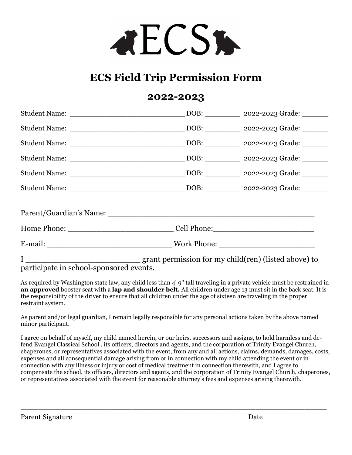

# **ECS Field Trip Permission Form**

#### **2022-2023**

participate in school-sponsored events.

As required by Washington state law, any child less than 4' 9'' tall traveling in a private vehicle must be restrained in **an approved** booster seat with a **lap and shoulder belt.** All children under age 13 must sit in the back seat. It is the responsibility of the driver to ensure that all children under the age of sixteen are traveling in the proper restraint system.

As parent and/or legal guardian, I remain legally responsible for any personal actions taken by the above named minor participant.

I agree on behalf of myself, my child named herein, or our heirs, successors and assigns, to hold harmless and defend Evangel Classical School , its officers, directors and agents, and the corporation of Trinity Evangel Church, chaperones, or representatives associated with the event, from any and all actions, claims, demands, damages, costs, expenses and all consequential damage arising from or in connection with my child attending the event or in connection with any illness or injury or cost of medical treatment in connection therewith, and I agree to compensate the school, its officers, directors and agents, and the corporation of Trinity Evangel Church, chaperones, or representatives associated with the event for reasonable attorney's fees and expenses arising therewith.

\_\_\_\_\_\_\_\_\_\_\_\_\_\_\_\_\_\_\_\_\_\_\_\_\_\_\_\_\_\_\_\_\_\_\_\_\_\_\_\_\_\_\_\_\_\_\_\_\_\_\_\_\_\_\_\_\_\_\_\_\_\_\_\_\_\_\_\_\_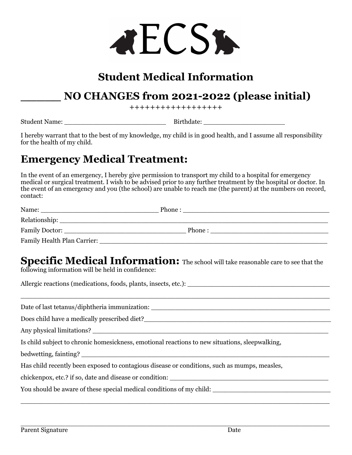

# **Student Medical Information**

### **\_\_\_\_\_ NO CHANGES from 2021-2022 (please initial)**

++++++++++++++++++

Student Name: \_\_\_\_\_\_\_\_\_\_\_\_\_\_\_\_\_\_\_\_\_\_\_\_\_ Birthdate: \_\_\_\_\_\_\_\_\_\_\_\_\_\_\_\_\_\_\_\_

I hereby warrant that to the best of my knowledge, my child is in good health, and I assume all responsibility for the health of my child.

# **Emergency Medical Treatment:**

In the event of an emergency, I hereby give permission to transport my child to a hospital for emergency medical or surgical treatment. I wish to be advised prior to any further treatment by the hospital or doctor. In the event of an emergency and you (the school) are unable to reach me (the parent) at the numbers on record, contact:

| Name:                                                                                                                                                                                                                          | Phone: |  |
|--------------------------------------------------------------------------------------------------------------------------------------------------------------------------------------------------------------------------------|--------|--|
| Relationship: Network of the state of the state of the state of the state of the state of the state of the state of the state of the state of the state of the state of the state of the state of the state of the state of th |        |  |
|                                                                                                                                                                                                                                | Phone: |  |
| <b>Family Health Plan Carrier:</b>                                                                                                                                                                                             |        |  |

#### **Specific Medical Information:** The school will take reasonable care to see that the following information will be held in confidence:

\_\_\_\_\_\_\_\_\_\_\_\_\_\_\_\_\_\_\_\_\_\_\_\_\_\_\_\_\_\_\_\_\_\_\_\_\_\_\_\_\_\_\_\_\_\_\_\_\_\_\_\_\_\_\_\_\_\_\_\_\_\_\_\_\_\_\_\_\_\_\_\_\_\_\_\_

\_\_\_\_\_\_\_\_\_\_\_\_\_\_\_\_\_\_\_\_\_\_\_\_\_\_\_\_\_\_\_\_\_\_\_\_\_\_\_\_\_\_\_\_\_\_\_\_\_\_\_\_\_\_\_\_\_\_\_\_\_\_\_\_\_\_\_\_\_\_\_\_\_\_\_\_

Allergic reactions (medications, foods, plants, insects, etc.):

Date of last tetanus/diphtheria immunization:

Does child have a medically prescribed diet?\_\_\_\_\_\_\_\_\_\_\_\_\_\_\_\_\_\_\_\_\_\_\_\_\_\_\_\_\_\_\_\_\_\_\_\_\_\_\_\_\_\_\_\_\_\_

Any physical limitations?

Is child subject to chronic homesickness, emotional reactions to new situations, sleepwalking,

bedwetting, fainting?

Has child recently been exposed to contagious disease or conditions, such as mumps, measles,

chickenpox, etc.? if so, date and disease or condition: \_\_\_\_\_\_\_\_\_\_\_\_\_\_\_\_\_\_\_\_\_\_\_\_\_\_\_\_\_\_\_\_\_\_\_\_\_\_\_

You should be aware of these special medical conditions of my child: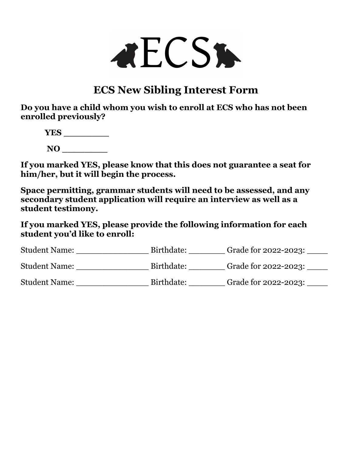

# **ECS New Sibling Interest Form**

**Do you have a child whom you wish to enroll at ECS who has not been enrolled previously?** 

**YES \_\_\_\_\_\_\_\_ NO \_\_\_\_\_\_\_\_**

**If you marked YES, please know that this does not guarantee a seat for him/her, but it will begin the process.** 

**Space permitting, grammar students will need to be assessed, and any secondary student application will require an interview as well as a student testimony.** 

**If you marked YES, please provide the following information for each student you'd like to enroll:**

| <b>Student Name:</b> | Birthdate: | Grade for 2022-2023: |
|----------------------|------------|----------------------|
| <b>Student Name:</b> | Birthdate: | Grade for 2022-2023: |
| <b>Student Name:</b> | Birthdate: | Grade for 2022-2023: |